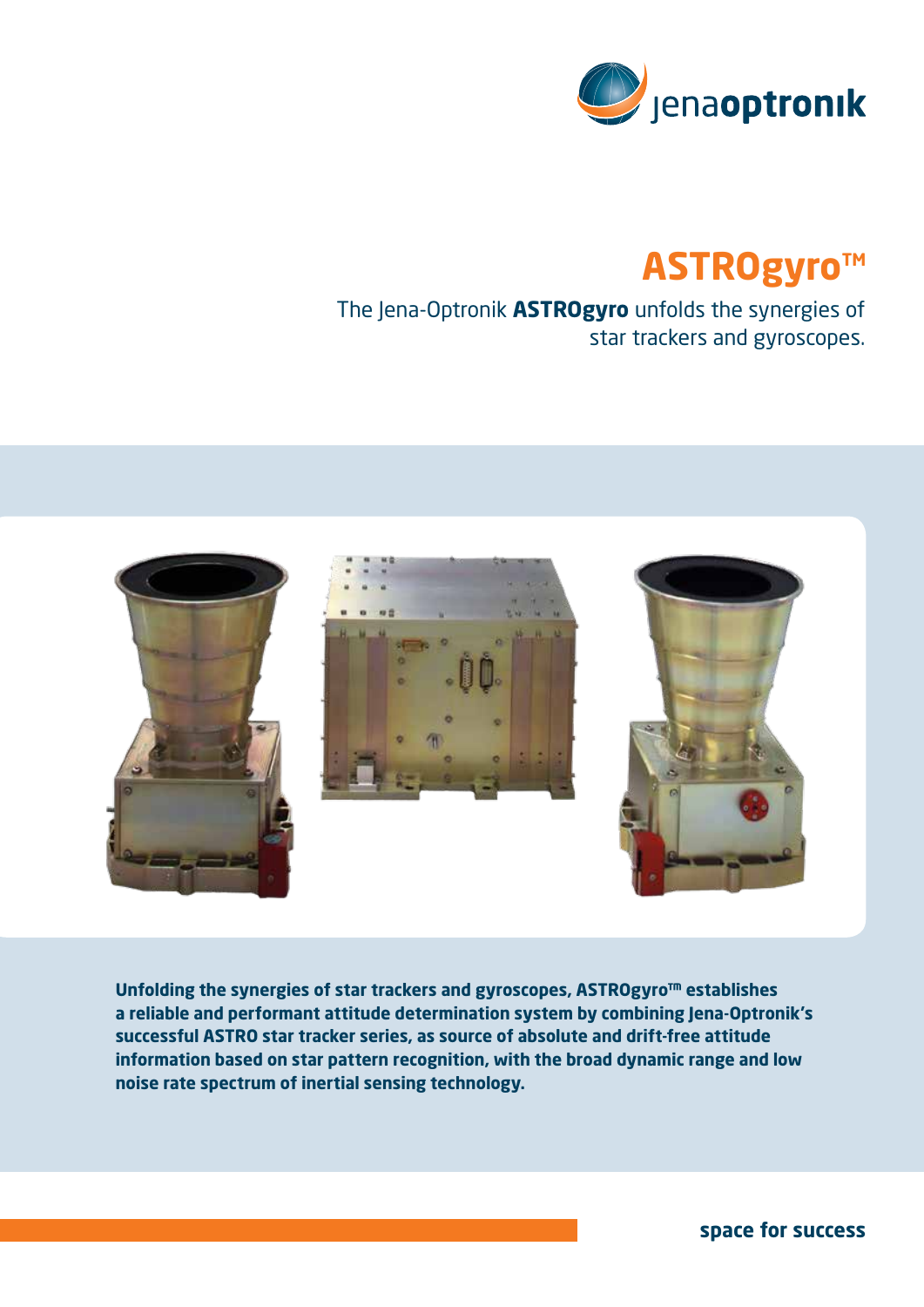

## **ASTROgyro™**

The Jena-Optronik **ASTROgyro** unfolds the synergies of star trackers and gyroscopes.



**Unfolding the synergies of star trackers and gyroscopes, ASTROgyro™ establishes a reliable and performant attitude determination system by combining Jena-Optronik's successful ASTRO star tracker series, as source of absolute and drift-free attitude information based on star pattern recognition, with the broad dynamic range and low noise rate spectrum of inertial sensing technology.**

**space for success**